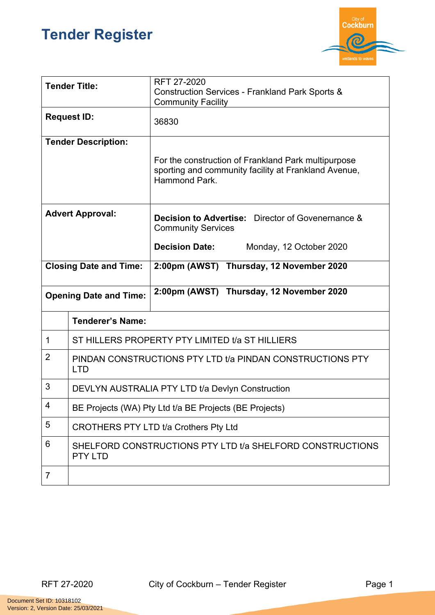## **Tender Register**



|                               | <b>Tender Title:</b>                                                        | RFT 27-2020<br><b>Construction Services - Frankland Park Sports &amp;</b><br><b>Community Facility</b> |
|-------------------------------|-----------------------------------------------------------------------------|--------------------------------------------------------------------------------------------------------|
| <b>Request ID:</b>            |                                                                             | 36830                                                                                                  |
|                               | <b>Tender Description:</b>                                                  | For the construction of Frankland Park multipurpose                                                    |
|                               |                                                                             | sporting and community facility at Frankland Avenue,<br>Hammond Park.                                  |
| <b>Advert Approval:</b>       |                                                                             | <b>Decision to Advertise:</b> Director of Govenernance &<br><b>Community Services</b>                  |
|                               |                                                                             | <b>Decision Date:</b><br>Monday, 12 October 2020                                                       |
| <b>Closing Date and Time:</b> |                                                                             | 2:00pm (AWST) Thursday, 12 November 2020                                                               |
| <b>Opening Date and Time:</b> |                                                                             | 2:00pm (AWST) Thursday, 12 November 2020                                                               |
|                               | <b>Tenderer's Name:</b>                                                     |                                                                                                        |
| 1                             | ST HILLERS PROPERTY PTY LIMITED t/a ST HILLIERS                             |                                                                                                        |
| 2                             | PINDAN CONSTRUCTIONS PTY LTD t/a PINDAN CONSTRUCTIONS PTY<br><b>LTD</b>     |                                                                                                        |
| 3                             | DEVLYN AUSTRALIA PTY LTD t/a Devlyn Construction                            |                                                                                                        |
| 4                             | BE Projects (WA) Pty Ltd t/a BE Projects (BE Projects)                      |                                                                                                        |
| 5                             | CROTHERS PTY LTD t/a Crothers Pty Ltd                                       |                                                                                                        |
|                               | SHELFORD CONSTRUCTIONS PTY LTD t/a SHELFORD CONSTRUCTIONS<br><b>PTY LTD</b> |                                                                                                        |
| 6                             |                                                                             |                                                                                                        |